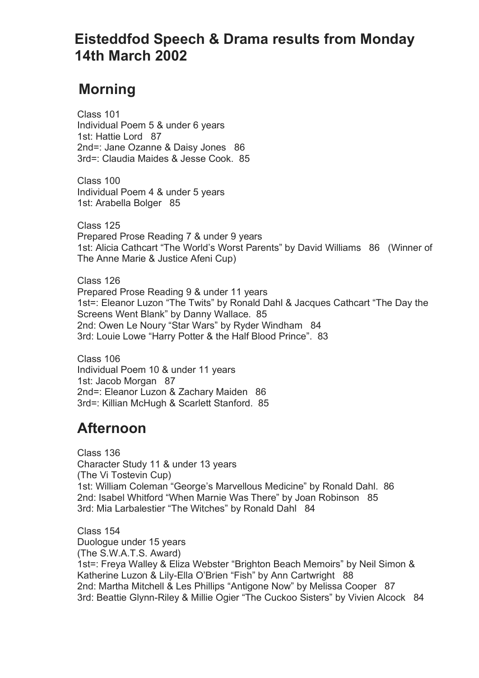## **Eisteddfod Speech & Drama results from Monday 14th March 2002**

## **Morning**

 Class 101 Individual Poem 5 & under 6 years 1st: Hattie Lord 87 2nd=: Jane Ozanne & Daisy Jones 86 3rd=: Claudia Maides & Jesse Cook. 85

 Class 100 Individual Poem 4 & under 5 years 1st: Arabella Bolger 85

 Class 125 Prepared Prose Reading 7 & under 9 years 1st: Alicia Cathcart "The World's Worst Parents" by David Williams 86 (Winner of The Anne Marie & Justice Afeni Cup)

 Class 126 Prepared Prose Reading 9 & under 11 years 1st=: Eleanor Luzon "The Twits" by Ronald Dahl & Jacques Cathcart "The Day the Screens Went Blank" by Danny Wallace. 85 2nd: Owen Le Noury "Star Wars" by Ryder Windham 84 3rd: Louie Lowe "Harry Potter & the Half Blood Prince". 83

 Class 106 Individual Poem 10 & under 11 years 1st: Jacob Morgan 87 2nd=: Eleanor Luzon & Zachary Maiden 86 3rd=: Killian McHugh & Scarlett Stanford. 85

## **Afternoon**

 Class 136 Character Study 11 & under 13 years (The Vi Tostevin Cup) 1st: William Coleman "George's Marvellous Medicine" by Ronald Dahl. 86 2nd: Isabel Whitford "When Marnie Was There" by Joan Robinson 85 3rd: Mia Larbalestier "The Witches" by Ronald Dahl 84

 Class 154 Duologue under 15 years (The S.W.A.T.S. Award) 1st=: Freya Walley & Eliza Webster "Brighton Beach Memoirs" by Neil Simon & Katherine Luzon & Lily-Ella O'Brien "Fish" by Ann Cartwright 88 2nd: Martha Mitchell & Les Phillips "Antigone Now" by Melissa Cooper 87 3rd: Beattie Glynn-Riley & Millie Ogier "The Cuckoo Sisters" by Vivien Alcock 84